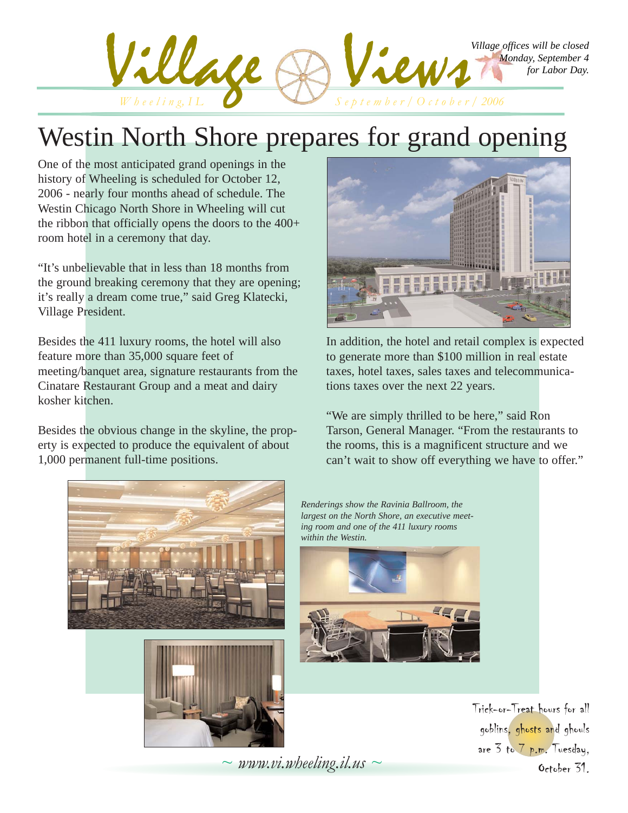

### Westin North Shore prepares for grand opening

One of the most anticipated grand openings in the history of Wheeling is scheduled for October 12, 2006 - nearly four months ahead of schedule. The Westin Chicago North Shore in Wheeling will cut the ribbon that officially opens the doors to the 400+ room hotel in a ceremony that day.

"It's unbelievable that in less than 18 months from the ground breaking ceremony that they are opening; it's really a dream come true," said Greg Klatecki, Village President.

Besides the 411 luxury rooms, the hotel will also feature more than 35,000 square feet of meeting/banquet area, signature restaurants from the Cinatare Restaurant Group and a meat and dairy kosher kitchen.

Besides the obvious change in the skyline, the property is expected to produce the equivalent of about 1,000 permanent full-time positions.



In addition, the hotel and retail complex is expected to generate more than \$100 million in real estate taxes, hotel taxes, sales taxes and telecommunications taxes over the next 22 years.

"We are simply thrilled to be here," said Ron Tarson, General Manager. "From the restaurants to the rooms, this is a magnificent structure and we can't wait to show off everything we have to offer."





*Renderings show the Ravinia Ballroom, the largest on the North Shore, an executive meeting room and one of the 411 luxury rooms within the Westin.*



Trick-or-Treat hours for all goblins, ghosts and ghouls are 3 to 7 p.m. Tuesday, October 31.

 $\sim$  *www.vi.wheeling.il.us*  $\sim$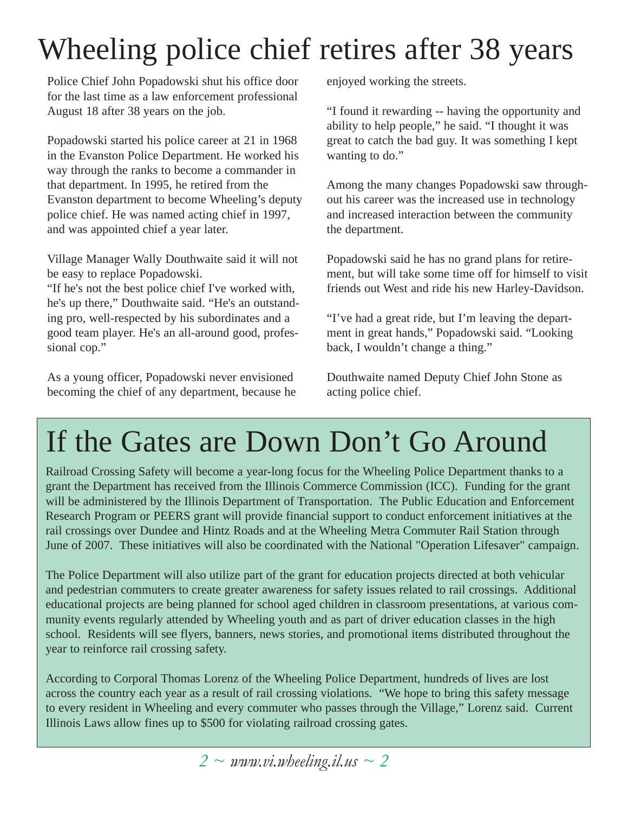# Wheeling police chief retires after 38 years

Police Chief John Popadowski shut his office door for the last time as a law enforcement professional August 18 after 38 years on the job.

Popadowski started his police career at 21 in 1968 in the Evanston Police Department. He worked his way through the ranks to become a commander in that department. In 1995, he retired from the Evanston department to become Wheeling's deputy police chief. He was named acting chief in 1997, and was appointed chief a year later.

Village Manager Wally Douthwaite said it will not be easy to replace Popadowski.

"If he's not the best police chief I've worked with, he's up there," Douthwaite said. "He's an outstanding pro, well-respected by his subordinates and a good team player. He's an all-around good, professional cop."

As a young officer, Popadowski never envisioned becoming the chief of any department, because he enjoyed working the streets.

"I found it rewarding -- having the opportunity and ability to help people," he said. "I thought it was great to catch the bad guy. It was something I kept wanting to do."

Among the many changes Popadowski saw throughout his career was the increased use in technology and increased interaction between the community the department.

Popadowski said he has no grand plans for retirement, but will take some time off for himself to visit friends out West and ride his new Harley-Davidson.

"I've had a great ride, but I'm leaving the department in great hands," Popadowski said. "Looking back, I wouldn't change a thing."

Douthwaite named Deputy Chief John Stone as acting police chief.

# If the Gates are Down Don't Go Around

Railroad Crossing Safety will become a year-long focus for the Wheeling Police Department thanks to a grant the Department has received from the Illinois Commerce Commission (ICC). Funding for the grant will be administered by the Illinois Department of Transportation. The Public Education and Enforcement Research Program or PEERS grant will provide financial support to conduct enforcement initiatives at the rail crossings over Dundee and Hintz Roads and at the Wheeling Metra Commuter Rail Station through June of 2007. These initiatives will also be coordinated with the National "Operation Lifesaver" campaign.

The Police Department will also utilize part of the grant for education projects directed at both vehicular and pedestrian commuters to create greater awareness for safety issues related to rail crossings. Additional educational projects are being planned for school aged children in classroom presentations, at various community events regularly attended by Wheeling youth and as part of driver education classes in the high school. Residents will see flyers, banners, news stories, and promotional items distributed throughout the year to reinforce rail crossing safety.

According to Corporal Thomas Lorenz of the Wheeling Police Department, hundreds of lives are lost across the country each year as a result of rail crossing violations. "We hope to bring this safety message to every resident in Wheeling and every commuter who passes through the Village," Lorenz said. Current Illinois Laws allow fines up to \$500 for violating railroad crossing gates.

*2 ~ www.vi.wheeling.il.us ~ 2*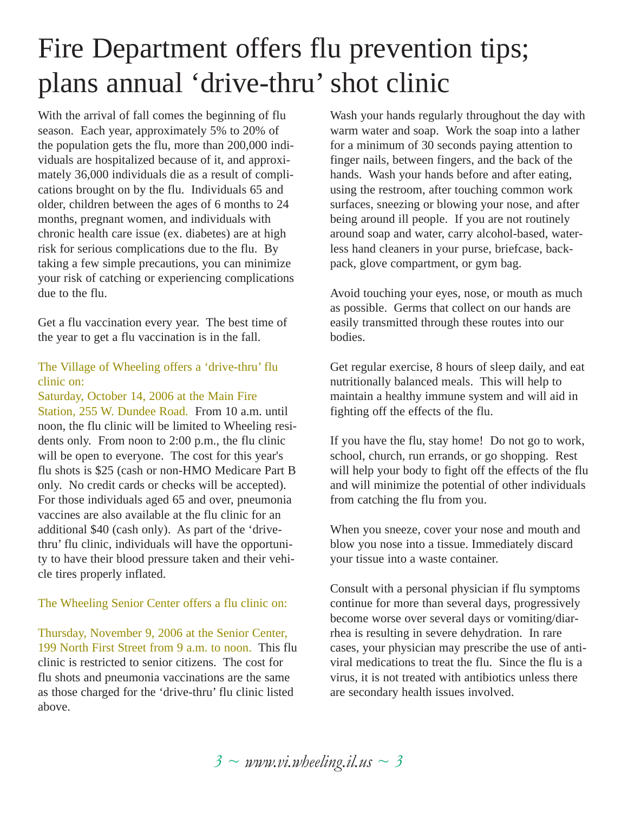# Fire Department offers flu prevention tips; plans annual 'drive-thru' shot clinic

With the arrival of fall comes the beginning of flu season. Each year, approximately 5% to 20% of the population gets the flu, more than 200,000 individuals are hospitalized because of it, and approximately 36,000 individuals die as a result of complications brought on by the flu. Individuals 65 and older, children between the ages of 6 months to 24 months, pregnant women, and individuals with chronic health care issue (ex. diabetes) are at high risk for serious complications due to the flu. By taking a few simple precautions, you can minimize your risk of catching or experiencing complications due to the flu.

Get a flu vaccination every year. The best time of the year to get a flu vaccination is in the fall.

#### The Village of Wheeling offers a 'drive-thru' flu clinic on:

Saturday, October 14, 2006 at the Main Fire Station, 255 W. Dundee Road. From 10 a.m. until noon, the flu clinic will be limited to Wheeling residents only. From noon to 2:00 p.m., the flu clinic will be open to everyone. The cost for this year's flu shots is \$25 (cash or non-HMO Medicare Part B only. No credit cards or checks will be accepted). For those individuals aged 65 and over, pneumonia vaccines are also available at the flu clinic for an additional \$40 (cash only). As part of the 'drivethru' flu clinic, individuals will have the opportunity to have their blood pressure taken and their vehicle tires properly inflated.

#### The Wheeling Senior Center offers a flu clinic on:

Thursday, November 9, 2006 at the Senior Center, 199 North First Street from 9 a.m. to noon. This flu clinic is restricted to senior citizens. The cost for flu shots and pneumonia vaccinations are the same as those charged for the 'drive-thru' flu clinic listed above.

Wash your hands regularly throughout the day with warm water and soap. Work the soap into a lather for a minimum of 30 seconds paying attention to finger nails, between fingers, and the back of the hands. Wash your hands before and after eating, using the restroom, after touching common work surfaces, sneezing or blowing your nose, and after being around ill people. If you are not routinely around soap and water, carry alcohol-based, waterless hand cleaners in your purse, briefcase, backpack, glove compartment, or gym bag.

Avoid touching your eyes, nose, or mouth as much as possible. Germs that collect on our hands are easily transmitted through these routes into our bodies.

Get regular exercise, 8 hours of sleep daily, and eat nutritionally balanced meals. This will help to maintain a healthy immune system and will aid in fighting off the effects of the flu.

If you have the flu, stay home! Do not go to work, school, church, run errands, or go shopping. Rest will help your body to fight off the effects of the flu and will minimize the potential of other individuals from catching the flu from you.

When you sneeze, cover your nose and mouth and blow you nose into a tissue. Immediately discard your tissue into a waste container.

Consult with a personal physician if flu symptoms continue for more than several days, progressively become worse over several days or vomiting/diarrhea is resulting in severe dehydration. In rare cases, your physician may prescribe the use of antiviral medications to treat the flu. Since the flu is a virus, it is not treated with antibiotics unless there are secondary health issues involved.

*3 ~ www.vi.wheeling.il.us ~ 3*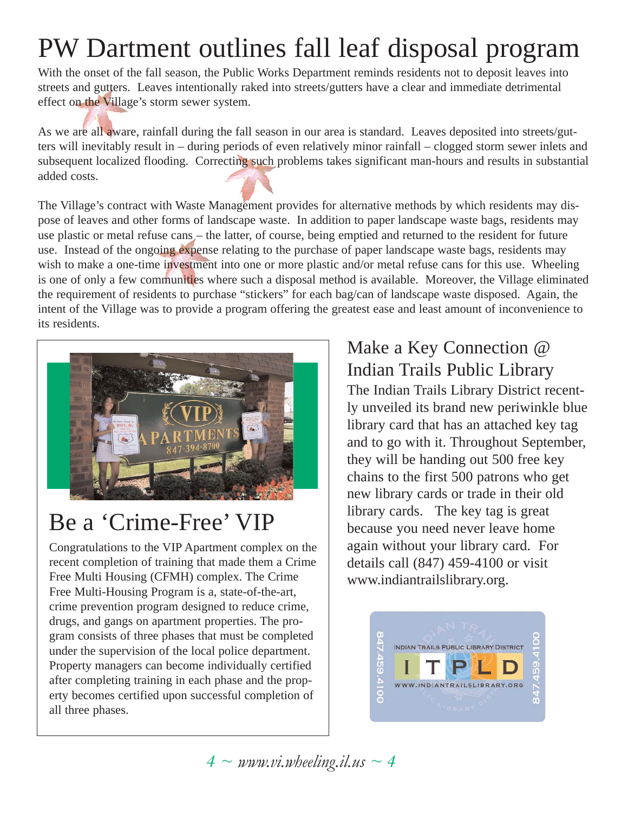# PW Dartment outlines fall leaf disposal program

With the onset of the fall season, the Public Works Department reminds residents not to deposit leaves into streets and gutters. Leaves intentionally raked into streets/gutters have a clear and immediate detrimental effect on the Village's storm sewer system.

As we are all aware, rainfall during the fall season in our area is standard. Leaves deposited into streets/gutters will inevitably result in – during periods of even relatively minor rainfall – clogged storm sewer inlets and subsequent localized flooding. Correcting such problems takes significant man-hours and results in substantial added costs.

The Village's contract with Waste Management provides for alternative methods by which residents may dispose of leaves and other forms of landscape waste. In addition to paper landscape waste bags, residents may use plastic or metal refuse cans – the latter, of course, being emptied and returned to the resident for future use. Instead of the ongoing expense relating to the purchase of paper landscape waste bags, residents may wish to make a one-time investment into one or more plastic and/or metal refuse cans for this use. Wheeling is one of only a few communities where such a disposal method is available. Moreover, the Village eliminated the requirement of residents to purchase "stickers" for each bag/can of landscape waste disposed. Again, the intent of the Village was to provide a program offering the greatest ease and least amount of inconvenience to its residents.



### Be a 'Crime-Free' VIP

Congratulations to the VIP Apartment complex on the recent completion of training that made them a Crime Free Multi Housing (CFMH) complex. The Crime Free Multi-Housing Program is a, state-of-the-art, crime prevention program designed to reduce crime, drugs, and gangs on apartment properties. The program consists of three phases that must be completed under the supervision of the local police department. Property managers can become individually certified after completing training in each phase and the property becomes certified upon successful completion of all three phases.

### Make a Key Connection @ Indian Trails Public Library

The Indian Trails Library District recently unveiled its brand new periwinkle blue library card that has an attached key tag and to go with it. Throughout September, they will be handing out 500 free key chains to the first 500 patrons who get new library cards or trade in their old library cards. The key tag is great because you need never leave home again without your library card. For details call (847) 459-4100 or visit www.indiantrailslibrary.org.

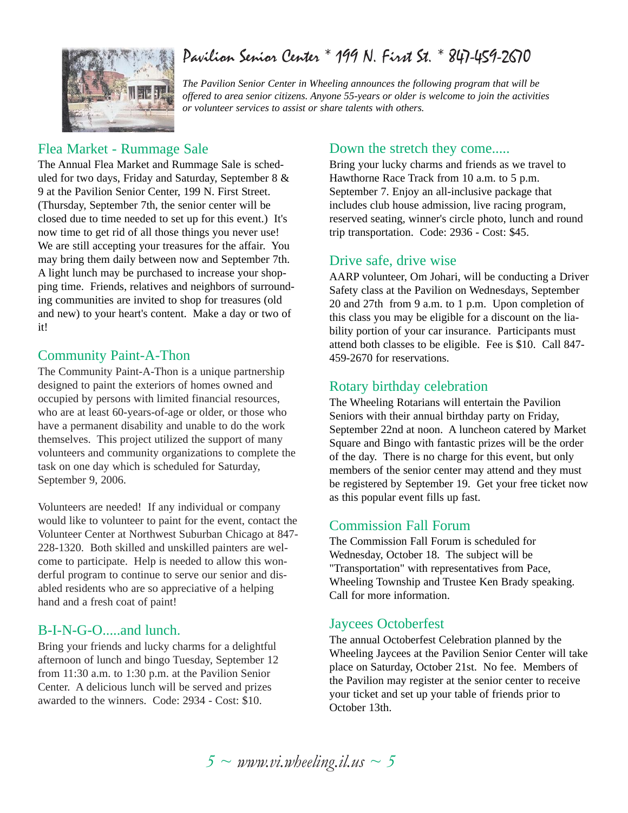### Pavilion Senior Center \* 199 N. First St. \* 847-459-2670

*The Pavilion Senior Center in Wheeling announces the following program that will be offered to area senior citizens. Anyone 55-years or older is welcome to join the activities or volunteer services to assist or share talents with others.*

### Flea Market - Rummage Sale

The Annual Flea Market and Rummage Sale is scheduled for two days, Friday and Saturday, September 8 & 9 at the Pavilion Senior Center, 199 N. First Street. (Thursday, September 7th, the senior center will be closed due to time needed to set up for this event.) It's now time to get rid of all those things you never use! We are still accepting your treasures for the affair. You may bring them daily between now and September 7th. A light lunch may be purchased to increase your shopping time. Friends, relatives and neighbors of surrounding communities are invited to shop for treasures (old and new) to your heart's content. Make a day or two of it!

#### Community Paint-A-Thon

The Community Paint-A-Thon is a unique partnership designed to paint the exteriors of homes owned and occupied by persons with limited financial resources, who are at least 60-years-of-age or older, or those who have a permanent disability and unable to do the work themselves. This project utilized the support of many volunteers and community organizations to complete the task on one day which is scheduled for Saturday, September 9, 2006.

Volunteers are needed! If any individual or company would like to volunteer to paint for the event, contact the Volunteer Center at Northwest Suburban Chicago at 847- 228-1320. Both skilled and unskilled painters are welcome to participate. Help is needed to allow this wonderful program to continue to serve our senior and disabled residents who are so appreciative of a helping hand and a fresh coat of paint!

### B-I-N-G-O.....and lunch.

Bring your friends and lucky charms for a delightful afternoon of lunch and bingo Tuesday, September 12 from 11:30 a.m. to 1:30 p.m. at the Pavilion Senior Center. A delicious lunch will be served and prizes awarded to the winners. Code: 2934 - Cost: \$10.

### Down the stretch they come.....

Bring your lucky charms and friends as we travel to Hawthorne Race Track from 10 a.m. to 5 p.m. September 7. Enjoy an all-inclusive package that includes club house admission, live racing program, reserved seating, winner's circle photo, lunch and round trip transportation. Code: 2936 - Cost: \$45.

#### Drive safe, drive wise

AARP volunteer, Om Johari, will be conducting a Driver Safety class at the Pavilion on Wednesdays, September 20 and 27th from 9 a.m. to 1 p.m. Upon completion of this class you may be eligible for a discount on the liability portion of your car insurance. Participants must attend both classes to be eligible. Fee is \$10. Call 847- 459-2670 for reservations.

#### Rotary birthday celebration

The Wheeling Rotarians will entertain the Pavilion Seniors with their annual birthday party on Friday, September 22nd at noon. A luncheon catered by Market Square and Bingo with fantastic prizes will be the order of the day. There is no charge for this event, but only members of the senior center may attend and they must be registered by September 19. Get your free ticket now as this popular event fills up fast.

### Commission Fall Forum

The Commission Fall Forum is scheduled for Wednesday, October 18. The subject will be "Transportation" with representatives from Pace, Wheeling Township and Trustee Ken Brady speaking. Call for more information.

### Jaycees Octoberfest

The annual Octoberfest Celebration planned by the Wheeling Jaycees at the Pavilion Senior Center will take place on Saturday, October 21st. No fee. Members of the Pavilion may register at the senior center to receive your ticket and set up your table of friends prior to October 13th.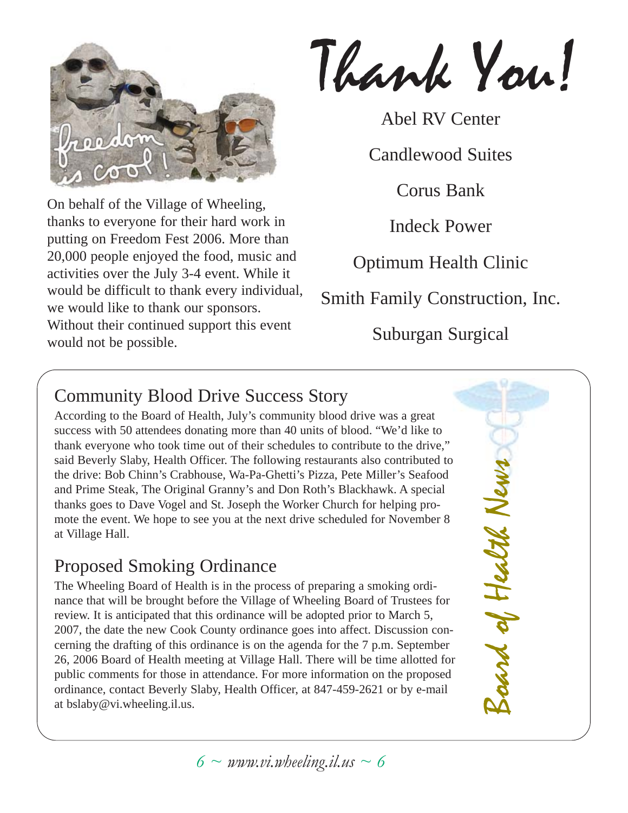

On behalf of the Village of Wheeling, thanks to everyone for their hard work in putting on Freedom Fest 2006. More than 20,000 people enjoyed the food, music and activities over the July 3-4 event. While it would be difficult to thank every individual, we would like to thank our sponsors. Without their continued support this event would not be possible.

Thank You!

Abel RV Center

Candlewood Suites

Corus Bank

Indeck Power

Optimum Health Clinic

Smith Family Construction, Inc.

Suburgan Surgical

### Community Blood Drive Success Story

According to the Board of Health, July's community blood drive was a great success with 50 attendees donating more than 40 units of blood. "We'd like to thank everyone who took time out of their schedules to contribute to the drive," said Beverly Slaby, Health Officer. The following restaurants also contributed to the drive: Bob Chinn's Crabhouse, Wa-Pa-Ghetti's Pizza, Pete Miller's Seafood and Prime Steak, The Original Granny's and Don Roth's Blackhawk. A special thanks goes to Dave Vogel and St. Joseph the Worker Church for helping promote the event. We hope to see you at the next drive scheduled for November 8 at Village Hall.

### Proposed Smoking Ordinance

The Wheeling Board of Health is in the process of preparing a smoking ordinance that will be brought before the Village of Wheeling Board of Trustees for review. It is anticipated that this ordinance will be adopted prior to March 5, 2007, the date the new Cook County ordinance goes into affect. Discussion concerning the drafting of this ordinance is on the agenda for the 7 p.m. September 26, 2006 Board of Health meeting at Village Hall. There will be time allotted for public comments for those in attendance. For more information on the proposed ordinance, contact Beverly Slaby, Health Officer, at 847-459-2621 or by e-mail at bslaby@vi.wheeling.il.us.

Board of Health News News. ard of Health

 $6 \sim$  *www.vi.wheeling.il.us*  $\sim 6$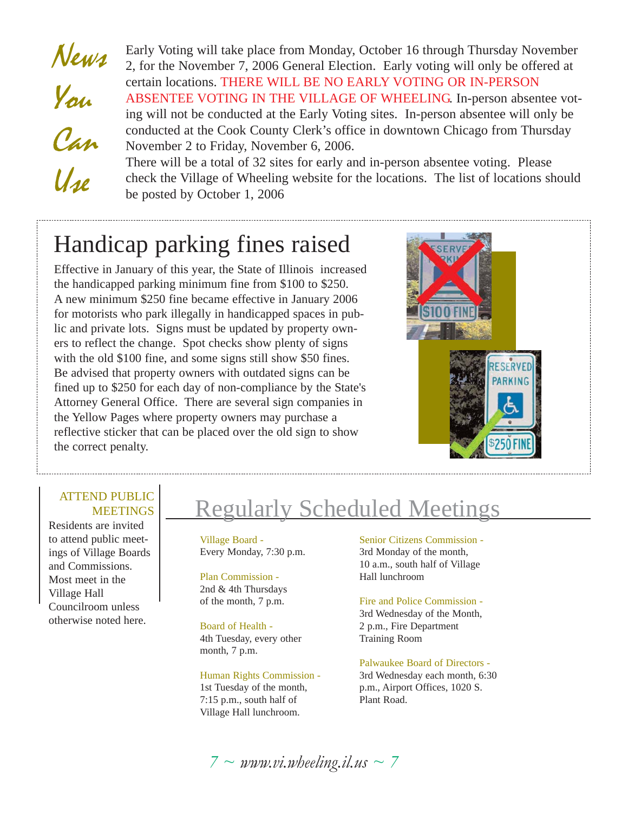News You Can  $U_{1\ell}$ Early Voting will take place from Monday, October 16 through Thursday November 2, for the November 7, 2006 General Election. Early voting will only be offered at certain locations. THERE WILL BE NO EARLY VOTING OR IN-PERSON ABSENTEE VOTING IN THE VILLAGE OF WHEELING. In-person absentee voting will not be conducted at the Early Voting sites. In-person absentee will only be conducted at the Cook County Clerk's office in downtown Chicago from Thursday November 2 to Friday, November 6, 2006. There will be a total of 32 sites for early and in-person absentee voting. Please check the Village of Wheeling website for the locations. The list of locations should

### Handicap parking fines raised

be posted by October 1, 2006

Effective in January of this year, the State of Illinois increased the handicapped parking minimum fine from \$100 to \$250. A new minimum \$250 fine became effective in January 2006 for motorists who park illegally in handicapped spaces in public and private lots. Signs must be updated by property owners to reflect the change. Spot checks show plenty of signs with the old \$100 fine, and some signs still show \$50 fines. Be advised that property owners with outdated signs can be fined up to \$250 for each day of non-compliance by the State's Attorney General Office. There are several sign companies in the Yellow Pages where property owners may purchase a reflective sticker that can be placed over the old sign to show the correct penalty.



#### ATTEND PUBLIC **MEETINGS**

Residents are invited to attend public meetings of Village Boards and Commissions. Most meet in the Village Hall Councilroom unless otherwise noted here.

## Regularly Scheduled Meetings

Village Board - Every Monday, 7:30 p.m.

Plan Commission - 2nd & 4th Thursdays of the month, 7 p.m.

Board of Health - 4th Tuesday, every other month, 7 p.m.

Human Rights Commission - 1st Tuesday of the month, 7:15 p.m., south half of Village Hall lunchroom.

Senior Citizens Commission - 3rd Monday of the month, 10 a.m., south half of Village Hall lunchroom

Fire and Police Commission - 3rd Wednesday of the Month, 2 p.m., Fire Department Training Room

Palwaukee Board of Directors - 3rd Wednesday each month, 6:30 p.m., Airport Offices, 1020 S. Plant Road.